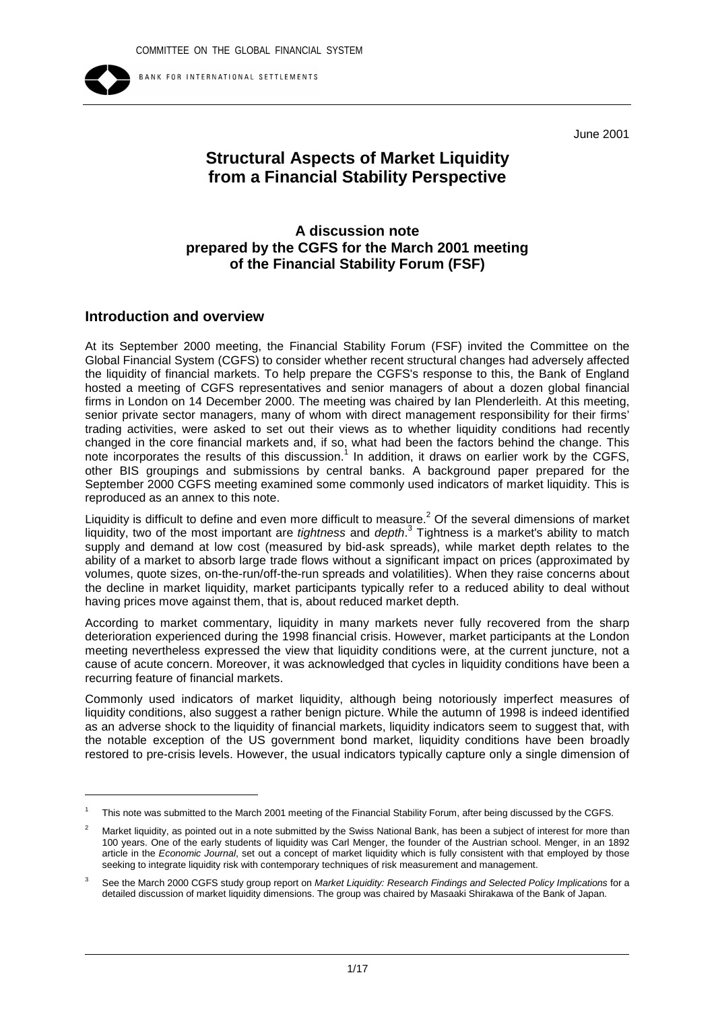

BANK FOR INTERNATIONAL SETTLEMENTS

June 2001

# **Structural Aspects of Market Liquidity from a Financial Stability Perspective**

# **A discussion note prepared by the CGFS for the March 2001 meeting of the Financial Stability Forum (FSF)**

# **Introduction and overview**

At its September 2000 meeting, the Financial Stability Forum (FSF) invited the Committee on the Global Financial System (CGFS) to consider whether recent structural changes had adversely affected the liquidity of financial markets. To help prepare the CGFS's response to this, the Bank of England hosted a meeting of CGFS representatives and senior managers of about a dozen global financial firms in London on 14 December 2000. The meeting was chaired by Ian Plenderleith. At this meeting, senior private sector managers, many of whom with direct management responsibility for their firms' trading activities, were asked to set out their views as to whether liquidity conditions had recently changed in the core financial markets and, if so, what had been the factors behind the change. This note incorporates the results of this discussion.<sup>1</sup> In addition, it draws on earlier work by the CGFS, other BIS groupings and submissions by central banks. A background paper prepared for the September 2000 CGFS meeting examined some commonly used indicators of market liquidity. This is reproduced as an annex to this note.

Liquidity is difficult to define and even more difficult to measure.<sup>2</sup> Of the several dimensions of market liquidity, two of the most important are *tightness* and *depth*. 3 Tightness is a market's ability to match supply and demand at low cost (measured by bid-ask spreads), while market depth relates to the ability of a market to absorb large trade flows without a significant impact on prices (approximated by volumes, quote sizes, on-the-run/off-the-run spreads and volatilities). When they raise concerns about the decline in market liquidity, market participants typically refer to a reduced ability to deal without having prices move against them, that is, about reduced market depth.

According to market commentary, liquidity in many markets never fully recovered from the sharp deterioration experienced during the 1998 financial crisis. However, market participants at the London meeting nevertheless expressed the view that liquidity conditions were, at the current juncture, not a cause of acute concern. Moreover, it was acknowledged that cycles in liquidity conditions have been a recurring feature of financial markets.

Commonly used indicators of market liquidity, although being notoriously imperfect measures of liquidity conditions, also suggest a rather benign picture. While the autumn of 1998 is indeed identified as an adverse shock to the liquidity of financial markets, liquidity indicators seem to suggest that, with the notable exception of the US government bond market, liquidity conditions have been broadly restored to pre-crisis levels. However, the usual indicators typically capture only a single dimension of

<sup>1</sup> This note was submitted to the March 2001 meeting of the Financial Stability Forum, after being discussed by the CGFS.

Market liquidity, as pointed out in a note submitted by the Swiss National Bank, has been a subject of interest for more than 100 years. One of the early students of liquidity was Carl Menger, the founder of the Austrian school. Menger, in an 1892 article in the *Economic Journal*, set out a concept of market liquidity which is fully consistent with that employed by those seeking to integrate liquidity risk with contemporary techniques of risk measurement and management.

<sup>3</sup> See the March 2000 CGFS study group report on *Market Liquidity: Research Findings and Selected Policy Implications* for a detailed discussion of market liquidity dimensions. The group was chaired by Masaaki Shirakawa of the Bank of Japan.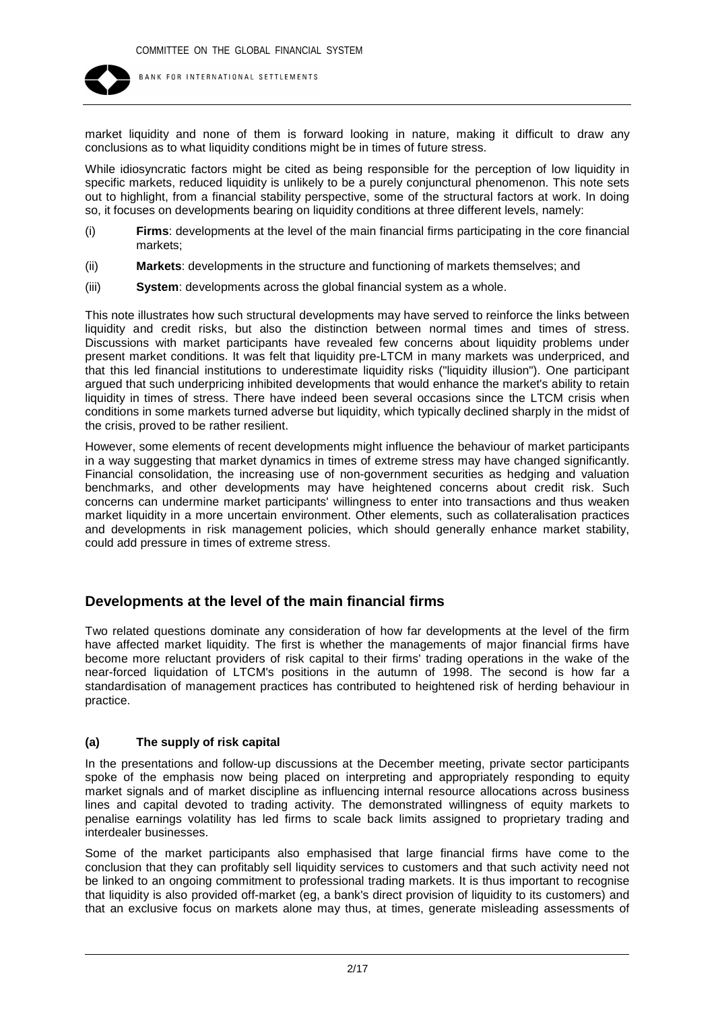

market liquidity and none of them is forward looking in nature, making it difficult to draw any conclusions as to what liquidity conditions might be in times of future stress.

While idiosyncratic factors might be cited as being responsible for the perception of low liquidity in specific markets, reduced liquidity is unlikely to be a purely conjunctural phenomenon. This note sets out to highlight, from a financial stability perspective, some of the structural factors at work. In doing so, it focuses on developments bearing on liquidity conditions at three different levels, namely:

- (i) **Firms**: developments at the level of the main financial firms participating in the core financial markets;
- (ii) **Markets**: developments in the structure and functioning of markets themselves; and
- (iii) **System**: developments across the global financial system as a whole.

This note illustrates how such structural developments may have served to reinforce the links between liquidity and credit risks, but also the distinction between normal times and times of stress. Discussions with market participants have revealed few concerns about liquidity problems under present market conditions. It was felt that liquidity pre-LTCM in many markets was underpriced, and that this led financial institutions to underestimate liquidity risks ("liquidity illusion"). One participant argued that such underpricing inhibited developments that would enhance the market's ability to retain liquidity in times of stress. There have indeed been several occasions since the LTCM crisis when conditions in some markets turned adverse but liquidity, which typically declined sharply in the midst of the crisis, proved to be rather resilient.

However, some elements of recent developments might influence the behaviour of market participants in a way suggesting that market dynamics in times of extreme stress may have changed significantly. Financial consolidation, the increasing use of non-government securities as hedging and valuation benchmarks, and other developments may have heightened concerns about credit risk. Such concerns can undermine market participants' willingness to enter into transactions and thus weaken market liquidity in a more uncertain environment. Other elements, such as collateralisation practices and developments in risk management policies, which should generally enhance market stability, could add pressure in times of extreme stress.

## **Developments at the level of the main financial firms**

Two related questions dominate any consideration of how far developments at the level of the firm have affected market liquidity. The first is whether the managements of major financial firms have become more reluctant providers of risk capital to their firms' trading operations in the wake of the near-forced liquidation of LTCM's positions in the autumn of 1998. The second is how far a standardisation of management practices has contributed to heightened risk of herding behaviour in practice.

## **(a) The supply of risk capital**

In the presentations and follow-up discussions at the December meeting, private sector participants spoke of the emphasis now being placed on interpreting and appropriately responding to equity market signals and of market discipline as influencing internal resource allocations across business lines and capital devoted to trading activity. The demonstrated willingness of equity markets to penalise earnings volatility has led firms to scale back limits assigned to proprietary trading and interdealer businesses.

Some of the market participants also emphasised that large financial firms have come to the conclusion that they can profitably sell liquidity services to customers and that such activity need not be linked to an ongoing commitment to professional trading markets. It is thus important to recognise that liquidity is also provided off-market (eg, a bank's direct provision of liquidity to its customers) and that an exclusive focus on markets alone may thus, at times, generate misleading assessments of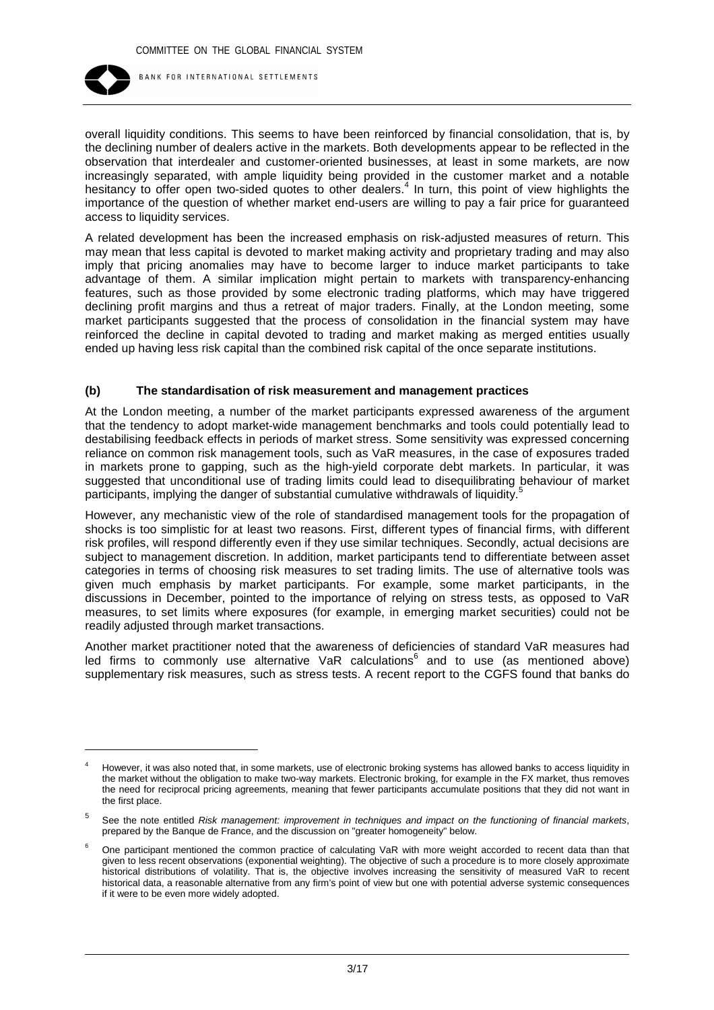

overall liquidity conditions. This seems to have been reinforced by financial consolidation, that is, by the declining number of dealers active in the markets. Both developments appear to be reflected in the observation that interdealer and customer-oriented businesses, at least in some markets, are now increasingly separated, with ample liquidity being provided in the customer market and a notable hesitancy to offer open two-sided quotes to other dealers.<sup>4</sup> In turn, this point of view highlights the importance of the question of whether market end-users are willing to pay a fair price for guaranteed access to liquidity services.

A related development has been the increased emphasis on risk-adjusted measures of return. This may mean that less capital is devoted to market making activity and proprietary trading and may also imply that pricing anomalies may have to become larger to induce market participants to take advantage of them. A similar implication might pertain to markets with transparency-enhancing features, such as those provided by some electronic trading platforms, which may have triggered declining profit margins and thus a retreat of major traders. Finally, at the London meeting, some market participants suggested that the process of consolidation in the financial system may have reinforced the decline in capital devoted to trading and market making as merged entities usually ended up having less risk capital than the combined risk capital of the once separate institutions.

#### **(b) The standardisation of risk measurement and management practices**

At the London meeting, a number of the market participants expressed awareness of the argument that the tendency to adopt market-wide management benchmarks and tools could potentially lead to destabilising feedback effects in periods of market stress. Some sensitivity was expressed concerning reliance on common risk management tools, such as VaR measures, in the case of exposures traded in markets prone to gapping, such as the high-yield corporate debt markets. In particular, it was suggested that unconditional use of trading limits could lead to disequilibrating behaviour of market participants, implying the danger of substantial cumulative withdrawals of liquidity.<sup>5</sup>

However, any mechanistic view of the role of standardised management tools for the propagation of shocks is too simplistic for at least two reasons. First, different types of financial firms, with different risk profiles, will respond differently even if they use similar techniques. Secondly, actual decisions are subject to management discretion. In addition, market participants tend to differentiate between asset categories in terms of choosing risk measures to set trading limits. The use of alternative tools was given much emphasis by market participants. For example, some market participants, in the discussions in December, pointed to the importance of relying on stress tests, as opposed to VaR measures, to set limits where exposures (for example, in emerging market securities) could not be readily adjusted through market transactions.

Another market practitioner noted that the awareness of deficiencies of standard VaR measures had led firms to commonly use alternative VaR calculations<sup>6</sup> and to use (as mentioned above) supplementary risk measures, such as stress tests. A recent report to the CGFS found that banks do

<sup>4</sup> However, it was also noted that, in some markets, use of electronic broking systems has allowed banks to access liquidity in the market without the obligation to make two-way markets. Electronic broking, for example in the FX market, thus removes the need for reciprocal pricing agreements, meaning that fewer participants accumulate positions that they did not want in the first place.

<sup>5</sup> See the note entitled *Risk management: improvement in techniques and impact on the functioning of financial markets*, prepared by the Banque de France, and the discussion on "greater homogeneity" below.

<sup>6</sup> One participant mentioned the common practice of calculating VaR with more weight accorded to recent data than that given to less recent observations (exponential weighting). The objective of such a procedure is to more closely approximate historical distributions of volatility. That is, the objective involves increasing the sensitivity of measured VaR to recent historical data, a reasonable alternative from any firm's point of view but one with potential adverse systemic consequences if it were to be even more widely adopted.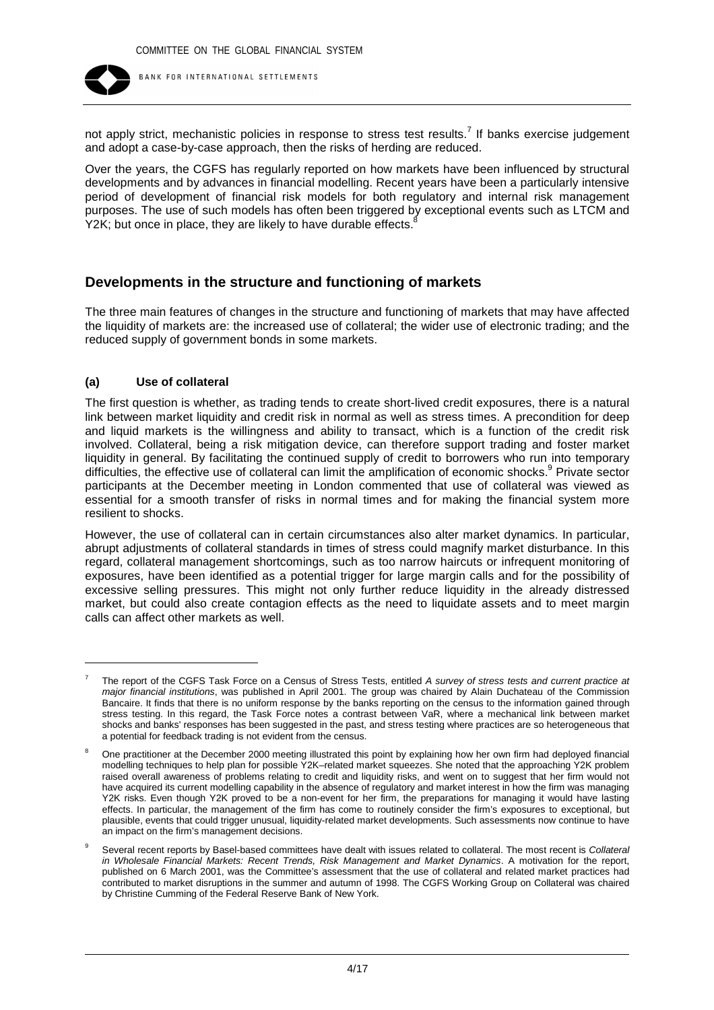

not apply strict, mechanistic policies in response to stress test results.<sup>7</sup> If banks exercise judgement and adopt a case-by-case approach, then the risks of herding are reduced.

Over the years, the CGFS has regularly reported on how markets have been influenced by structural developments and by advances in financial modelling. Recent years have been a particularly intensive period of development of financial risk models for both regulatory and internal risk management purposes. The use of such models has often been triggered by exceptional events such as LTCM and Y2K; but once in place, they are likely to have durable effects.

## **Developments in the structure and functioning of markets**

The three main features of changes in the structure and functioning of markets that may have affected the liquidity of markets are: the increased use of collateral; the wider use of electronic trading; and the reduced supply of government bonds in some markets.

#### **(a) Use of collateral**

The first question is whether, as trading tends to create short-lived credit exposures, there is a natural link between market liquidity and credit risk in normal as well as stress times. A precondition for deep and liquid markets is the willingness and ability to transact, which is a function of the credit risk involved. Collateral, being a risk mitigation device, can therefore support trading and foster market liquidity in general. By facilitating the continued supply of credit to borrowers who run into temporary difficulties, the effective use of collateral can limit the amplification of economic shocks.<sup>9</sup> Private sector participants at the December meeting in London commented that use of collateral was viewed as essential for a smooth transfer of risks in normal times and for making the financial system more resilient to shocks.

However, the use of collateral can in certain circumstances also alter market dynamics. In particular, abrupt adjustments of collateral standards in times of stress could magnify market disturbance. In this regard, collateral management shortcomings, such as too narrow haircuts or infrequent monitoring of exposures, have been identified as a potential trigger for large margin calls and for the possibility of excessive selling pressures. This might not only further reduce liquidity in the already distressed market, but could also create contagion effects as the need to liquidate assets and to meet margin calls can affect other markets as well.

<sup>7</sup> The report of the CGFS Task Force on a Census of Stress Tests, entitled *A survey of stress tests and current practice at major financial institutions*, was published in April 2001. The group was chaired by Alain Duchateau of the Commission Bancaire. It finds that there is no uniform response by the banks reporting on the census to the information gained through stress testing. In this regard, the Task Force notes a contrast between VaR, where a mechanical link between market shocks and banks' responses has been suggested in the past, and stress testing where practices are so heterogeneous that a potential for feedback trading is not evident from the census.

<sup>8</sup> One practitioner at the December 2000 meeting illustrated this point by explaining how her own firm had deployed financial modelling techniques to help plan for possible Y2K–related market squeezes. She noted that the approaching Y2K problem raised overall awareness of problems relating to credit and liquidity risks, and went on to suggest that her firm would not have acquired its current modelling capability in the absence of regulatory and market interest in how the firm was managing Y2K risks. Even though Y2K proved to be a non-event for her firm, the preparations for managing it would have lasting effects. In particular, the management of the firm has come to routinely consider the firm's exposures to exceptional, but plausible, events that could trigger unusual, liquidity-related market developments. Such assessments now continue to have an impact on the firm's management decisions.

<sup>9</sup> Several recent reports by Basel-based committees have dealt with issues related to collateral. The most recent is *Collateral in Wholesale Financial Markets: Recent Trends, Risk Management and Market Dynamics*. A motivation for the report, published on 6 March 2001, was the Committee's assessment that the use of collateral and related market practices had contributed to market disruptions in the summer and autumn of 1998. The CGFS Working Group on Collateral was chaired by Christine Cumming of the Federal Reserve Bank of New York.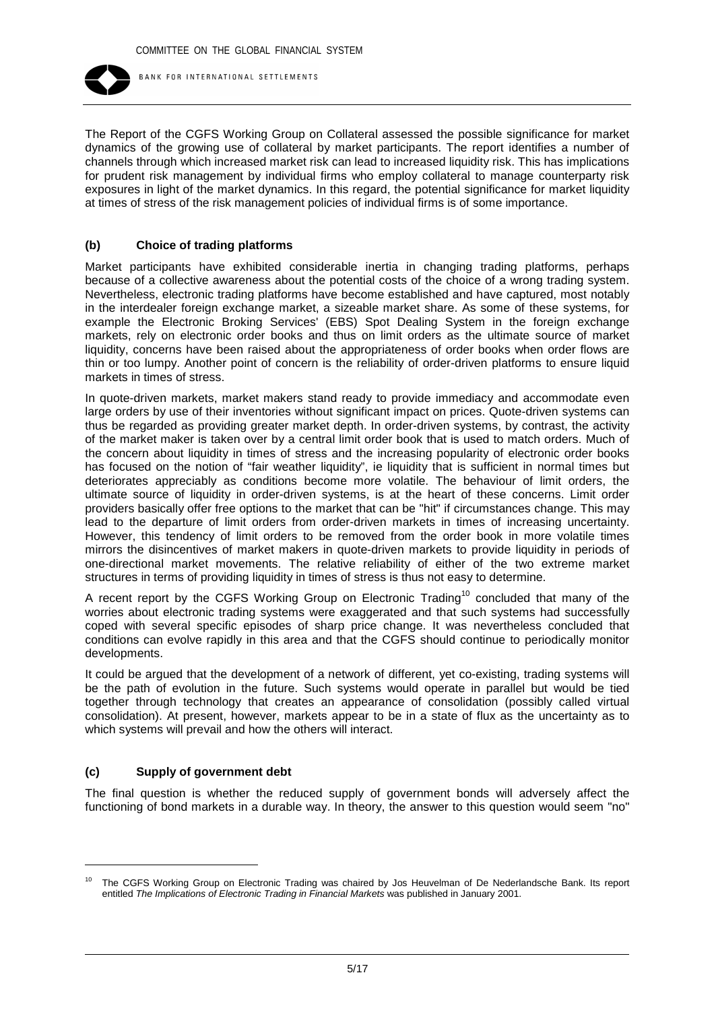

The Report of the CGFS Working Group on Collateral assessed the possible significance for market dynamics of the growing use of collateral by market participants. The report identifies a number of channels through which increased market risk can lead to increased liquidity risk. This has implications for prudent risk management by individual firms who employ collateral to manage counterparty risk exposures in light of the market dynamics. In this regard, the potential significance for market liquidity at times of stress of the risk management policies of individual firms is of some importance.

#### **(b) Choice of trading platforms**

Market participants have exhibited considerable inertia in changing trading platforms, perhaps because of a collective awareness about the potential costs of the choice of a wrong trading system. Nevertheless, electronic trading platforms have become established and have captured, most notably in the interdealer foreign exchange market, a sizeable market share. As some of these systems, for example the Electronic Broking Services' (EBS) Spot Dealing System in the foreign exchange markets, rely on electronic order books and thus on limit orders as the ultimate source of market liquidity, concerns have been raised about the appropriateness of order books when order flows are thin or too lumpy. Another point of concern is the reliability of order-driven platforms to ensure liquid markets in times of stress.

In quote-driven markets, market makers stand ready to provide immediacy and accommodate even large orders by use of their inventories without significant impact on prices. Quote-driven systems can thus be regarded as providing greater market depth. In order-driven systems, by contrast, the activity of the market maker is taken over by a central limit order book that is used to match orders. Much of the concern about liquidity in times of stress and the increasing popularity of electronic order books has focused on the notion of "fair weather liquidity", ie liquidity that is sufficient in normal times but deteriorates appreciably as conditions become more volatile. The behaviour of limit orders, the ultimate source of liquidity in order-driven systems, is at the heart of these concerns. Limit order providers basically offer free options to the market that can be "hit" if circumstances change. This may lead to the departure of limit orders from order-driven markets in times of increasing uncertainty. However, this tendency of limit orders to be removed from the order book in more volatile times mirrors the disincentives of market makers in quote-driven markets to provide liquidity in periods of one-directional market movements. The relative reliability of either of the two extreme market structures in terms of providing liquidity in times of stress is thus not easy to determine.

A recent report by the CGFS Working Group on Electronic Trading<sup>10</sup> concluded that many of the worries about electronic trading systems were exaggerated and that such systems had successfully coped with several specific episodes of sharp price change. It was nevertheless concluded that conditions can evolve rapidly in this area and that the CGFS should continue to periodically monitor developments.

It could be argued that the development of a network of different, yet co-existing, trading systems will be the path of evolution in the future. Such systems would operate in parallel but would be tied together through technology that creates an appearance of consolidation (possibly called virtual consolidation). At present, however, markets appear to be in a state of flux as the uncertainty as to which systems will prevail and how the others will interact.

## **(c) Supply of government debt**

The final question is whether the reduced supply of government bonds will adversely affect the functioning of bond markets in a durable way. In theory, the answer to this question would seem "no"

<sup>&</sup>lt;sup>10</sup> The CGFS Working Group on Electronic Trading was chaired by Jos Heuvelman of De Nederlandsche Bank. Its report entitled *The Implications of Electronic Trading in Financial Markets* was published in January 2001.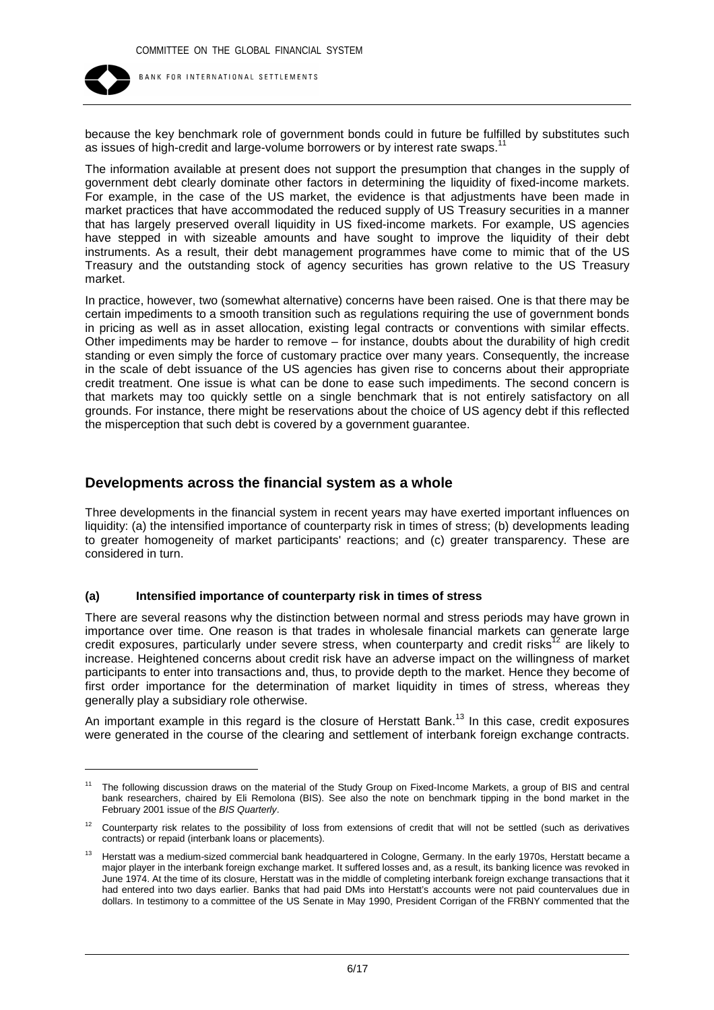

because the key benchmark role of government bonds could in future be fulfilled by substitutes such as issues of high-credit and large-volume borrowers or by interest rate swaps.

The information available at present does not support the presumption that changes in the supply of government debt clearly dominate other factors in determining the liquidity of fixed-income markets. For example, in the case of the US market, the evidence is that adjustments have been made in market practices that have accommodated the reduced supply of US Treasury securities in a manner that has largely preserved overall liquidity in US fixed-income markets. For example, US agencies have stepped in with sizeable amounts and have sought to improve the liquidity of their debt instruments. As a result, their debt management programmes have come to mimic that of the US Treasury and the outstanding stock of agency securities has grown relative to the US Treasury market.

In practice, however, two (somewhat alternative) concerns have been raised. One is that there may be certain impediments to a smooth transition such as regulations requiring the use of government bonds in pricing as well as in asset allocation, existing legal contracts or conventions with similar effects. Other impediments may be harder to remove – for instance, doubts about the durability of high credit standing or even simply the force of customary practice over many years. Consequently, the increase in the scale of debt issuance of the US agencies has given rise to concerns about their appropriate credit treatment. One issue is what can be done to ease such impediments. The second concern is that markets may too quickly settle on a single benchmark that is not entirely satisfactory on all grounds. For instance, there might be reservations about the choice of US agency debt if this reflected the misperception that such debt is covered by a government guarantee.

## **Developments across the financial system as a whole**

Three developments in the financial system in recent years may have exerted important influences on liquidity: (a) the intensified importance of counterparty risk in times of stress; (b) developments leading to greater homogeneity of market participants' reactions; and (c) greater transparency. These are considered in turn.

#### **(a) Intensified importance of counterparty risk in times of stress**

There are several reasons why the distinction between normal and stress periods may have grown in importance over time. One reason is that trades in wholesale financial markets can generate large credit exposures, particularly under severe stress, when counterparty and credit risks<sup>12</sup> are likely to increase. Heightened concerns about credit risk have an adverse impact on the willingness of market participants to enter into transactions and, thus, to provide depth to the market. Hence they become of first order importance for the determination of market liquidity in times of stress, whereas they generally play a subsidiary role otherwise.

An important example in this regard is the closure of Herstatt Bank.<sup>13</sup> In this case, credit exposures were generated in the course of the clearing and settlement of interbank foreign exchange contracts.

<sup>&</sup>lt;sup>11</sup> The following discussion draws on the material of the Study Group on Fixed-Income Markets, a group of BIS and central bank researchers, chaired by Eli Remolona (BIS). See also the note on benchmark tipping in the bond market in the February 2001 issue of the *BIS Quarterly*.

 $12$  Counterparty risk relates to the possibility of loss from extensions of credit that will not be settled (such as derivatives contracts) or repaid (interbank loans or placements).

Herstatt was a medium-sized commercial bank headquartered in Cologne, Germany. In the early 1970s, Herstatt became a major player in the interbank foreign exchange market. It suffered losses and, as a result, its banking licence was revoked in June 1974. At the time of its closure, Herstatt was in the middle of completing interbank foreign exchange transactions that it had entered into two days earlier. Banks that had paid DMs into Herstatt's accounts were not paid countervalues due in dollars. In testimony to a committee of the US Senate in May 1990, President Corrigan of the FRBNY commented that the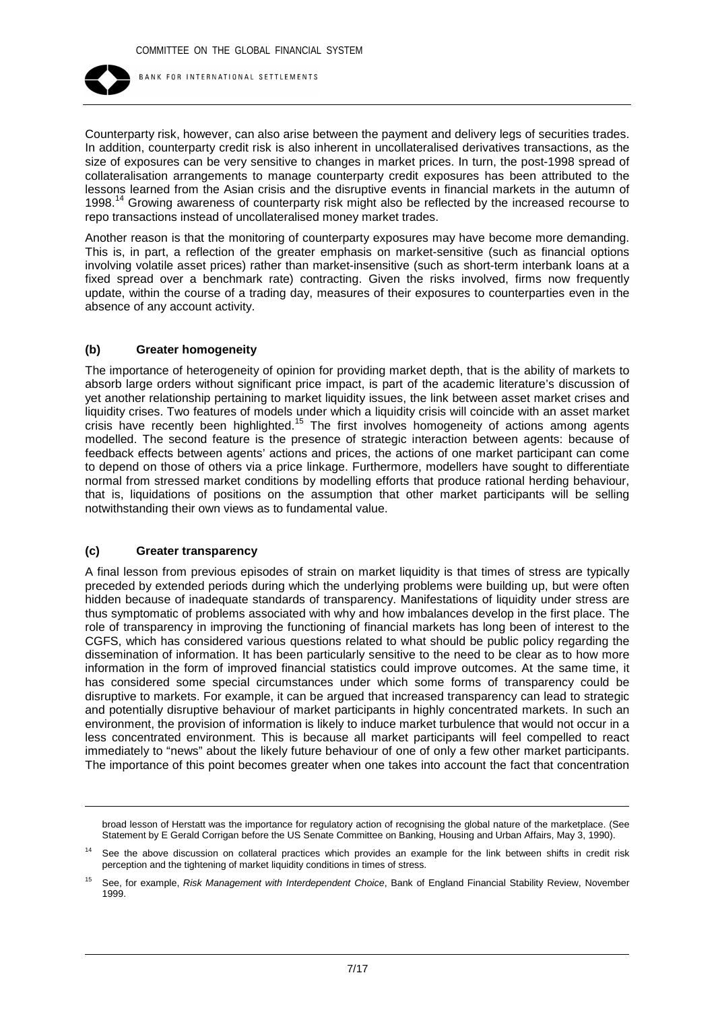

Counterparty risk, however, can also arise between the payment and delivery legs of securities trades. In addition, counterparty credit risk is also inherent in uncollateralised derivatives transactions, as the size of exposures can be very sensitive to changes in market prices. In turn, the post-1998 spread of collateralisation arrangements to manage counterparty credit exposures has been attributed to the lessons learned from the Asian crisis and the disruptive events in financial markets in the autumn of 1998.<sup>14</sup> Growing awareness of counterparty risk might also be reflected by the increased recourse to repo transactions instead of uncollateralised money market trades.

Another reason is that the monitoring of counterparty exposures may have become more demanding. This is, in part, a reflection of the greater emphasis on market-sensitive (such as financial options involving volatile asset prices) rather than market-insensitive (such as short-term interbank loans at a fixed spread over a benchmark rate) contracting. Given the risks involved, firms now frequently update, within the course of a trading day, measures of their exposures to counterparties even in the absence of any account activity.

#### **(b) Greater homogeneity**

The importance of heterogeneity of opinion for providing market depth, that is the ability of markets to absorb large orders without significant price impact, is part of the academic literature's discussion of yet another relationship pertaining to market liquidity issues, the link between asset market crises and liquidity crises. Two features of models under which a liquidity crisis will coincide with an asset market crisis have recently been highlighted.<sup>15</sup> The first involves homogeneity of actions among agents modelled. The second feature is the presence of strategic interaction between agents: because of feedback effects between agents' actions and prices, the actions of one market participant can come to depend on those of others via a price linkage. Furthermore, modellers have sought to differentiate normal from stressed market conditions by modelling efforts that produce rational herding behaviour, that is, liquidations of positions on the assumption that other market participants will be selling notwithstanding their own views as to fundamental value.

#### **(c) Greater transparency**

A final lesson from previous episodes of strain on market liquidity is that times of stress are typically preceded by extended periods during which the underlying problems were building up, but were often hidden because of inadequate standards of transparency. Manifestations of liquidity under stress are thus symptomatic of problems associated with why and how imbalances develop in the first place. The role of transparency in improving the functioning of financial markets has long been of interest to the CGFS, which has considered various questions related to what should be public policy regarding the dissemination of information. It has been particularly sensitive to the need to be clear as to how more information in the form of improved financial statistics could improve outcomes. At the same time, it has considered some special circumstances under which some forms of transparency could be disruptive to markets. For example, it can be argued that increased transparency can lead to strategic and potentially disruptive behaviour of market participants in highly concentrated markets. In such an environment, the provision of information is likely to induce market turbulence that would not occur in a less concentrated environment. This is because all market participants will feel compelled to react immediately to "news" about the likely future behaviour of one of only a few other market participants. The importance of this point becomes greater when one takes into account the fact that concentration

broad lesson of Herstatt was the importance for regulatory action of recognising the global nature of the marketplace. (See Statement by E Gerald Corrigan before the US Senate Committee on Banking, Housing and Urban Affairs, May 3, 1990).

See the above discussion on collateral practices which provides an example for the link between shifts in credit risk perception and the tightening of market liquidity conditions in times of stress.

<sup>15</sup> See, for example, *Risk Management with Interdependent Choice*, Bank of England Financial Stability Review, November 1999.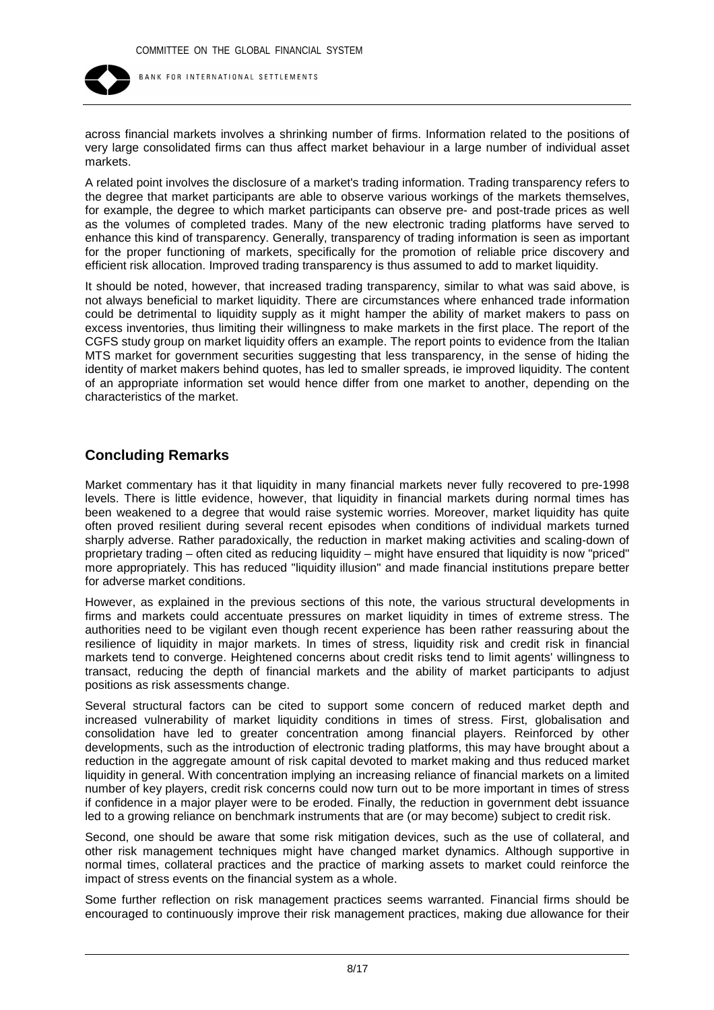

across financial markets involves a shrinking number of firms. Information related to the positions of very large consolidated firms can thus affect market behaviour in a large number of individual asset markets.

A related point involves the disclosure of a market's trading information. Trading transparency refers to the degree that market participants are able to observe various workings of the markets themselves, for example, the degree to which market participants can observe pre- and post-trade prices as well as the volumes of completed trades. Many of the new electronic trading platforms have served to enhance this kind of transparency. Generally, transparency of trading information is seen as important for the proper functioning of markets, specifically for the promotion of reliable price discovery and efficient risk allocation. Improved trading transparency is thus assumed to add to market liquidity.

It should be noted, however, that increased trading transparency, similar to what was said above, is not always beneficial to market liquidity. There are circumstances where enhanced trade information could be detrimental to liquidity supply as it might hamper the ability of market makers to pass on excess inventories, thus limiting their willingness to make markets in the first place. The report of the CGFS study group on market liquidity offers an example. The report points to evidence from the Italian MTS market for government securities suggesting that less transparency, in the sense of hiding the identity of market makers behind quotes, has led to smaller spreads, ie improved liquidity. The content of an appropriate information set would hence differ from one market to another, depending on the characteristics of the market.

## **Concluding Remarks**

Market commentary has it that liquidity in many financial markets never fully recovered to pre-1998 levels. There is little evidence, however, that liquidity in financial markets during normal times has been weakened to a degree that would raise systemic worries. Moreover, market liquidity has quite often proved resilient during several recent episodes when conditions of individual markets turned sharply adverse. Rather paradoxically, the reduction in market making activities and scaling-down of proprietary trading – often cited as reducing liquidity – might have ensured that liquidity is now "priced" more appropriately. This has reduced "liquidity illusion" and made financial institutions prepare better for adverse market conditions.

However, as explained in the previous sections of this note, the various structural developments in firms and markets could accentuate pressures on market liquidity in times of extreme stress. The authorities need to be vigilant even though recent experience has been rather reassuring about the resilience of liquidity in major markets. In times of stress, liquidity risk and credit risk in financial markets tend to converge. Heightened concerns about credit risks tend to limit agents' willingness to transact, reducing the depth of financial markets and the ability of market participants to adjust positions as risk assessments change.

Several structural factors can be cited to support some concern of reduced market depth and increased vulnerability of market liquidity conditions in times of stress. First, globalisation and consolidation have led to greater concentration among financial players. Reinforced by other developments, such as the introduction of electronic trading platforms, this may have brought about a reduction in the aggregate amount of risk capital devoted to market making and thus reduced market liquidity in general. With concentration implying an increasing reliance of financial markets on a limited number of key players, credit risk concerns could now turn out to be more important in times of stress if confidence in a major player were to be eroded. Finally, the reduction in government debt issuance led to a growing reliance on benchmark instruments that are (or may become) subject to credit risk.

Second, one should be aware that some risk mitigation devices, such as the use of collateral, and other risk management techniques might have changed market dynamics. Although supportive in normal times, collateral practices and the practice of marking assets to market could reinforce the impact of stress events on the financial system as a whole.

Some further reflection on risk management practices seems warranted. Financial firms should be encouraged to continuously improve their risk management practices, making due allowance for their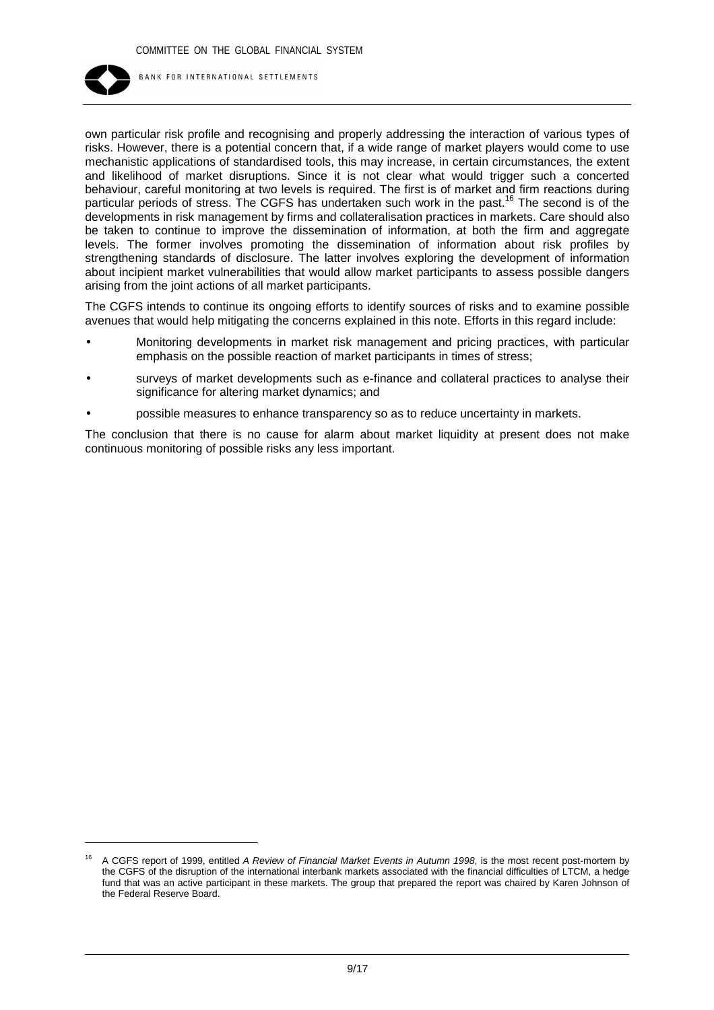

own particular risk profile and recognising and properly addressing the interaction of various types of risks. However, there is a potential concern that, if a wide range of market players would come to use mechanistic applications of standardised tools, this may increase, in certain circumstances, the extent and likelihood of market disruptions. Since it is not clear what would trigger such a concerted behaviour, careful monitoring at two levels is required. The first is of market and firm reactions during particular periods of stress. The CGFS has undertaken such work in the past.<sup>16</sup> The second is of the developments in risk management by firms and collateralisation practices in markets. Care should also be taken to continue to improve the dissemination of information, at both the firm and aggregate levels. The former involves promoting the dissemination of information about risk profiles by strengthening standards of disclosure. The latter involves exploring the development of information about incipient market vulnerabilities that would allow market participants to assess possible dangers arising from the joint actions of all market participants.

The CGFS intends to continue its ongoing efforts to identify sources of risks and to examine possible avenues that would help mitigating the concerns explained in this note. Efforts in this regard include:

- Monitoring developments in market risk management and pricing practices, with particular emphasis on the possible reaction of market participants in times of stress;
- surveys of market developments such as e-finance and collateral practices to analyse their significance for altering market dynamics; and
- possible measures to enhance transparency so as to reduce uncertainty in markets.

The conclusion that there is no cause for alarm about market liquidity at present does not make continuous monitoring of possible risks any less important.

<sup>16</sup> A CGFS report of 1999, entitled *A Review of Financial Market Events in Autumn 1998*, is the most recent post-mortem by the CGFS of the disruption of the international interbank markets associated with the financial difficulties of LTCM, a hedge fund that was an active participant in these markets. The group that prepared the report was chaired by Karen Johnson of the Federal Reserve Board.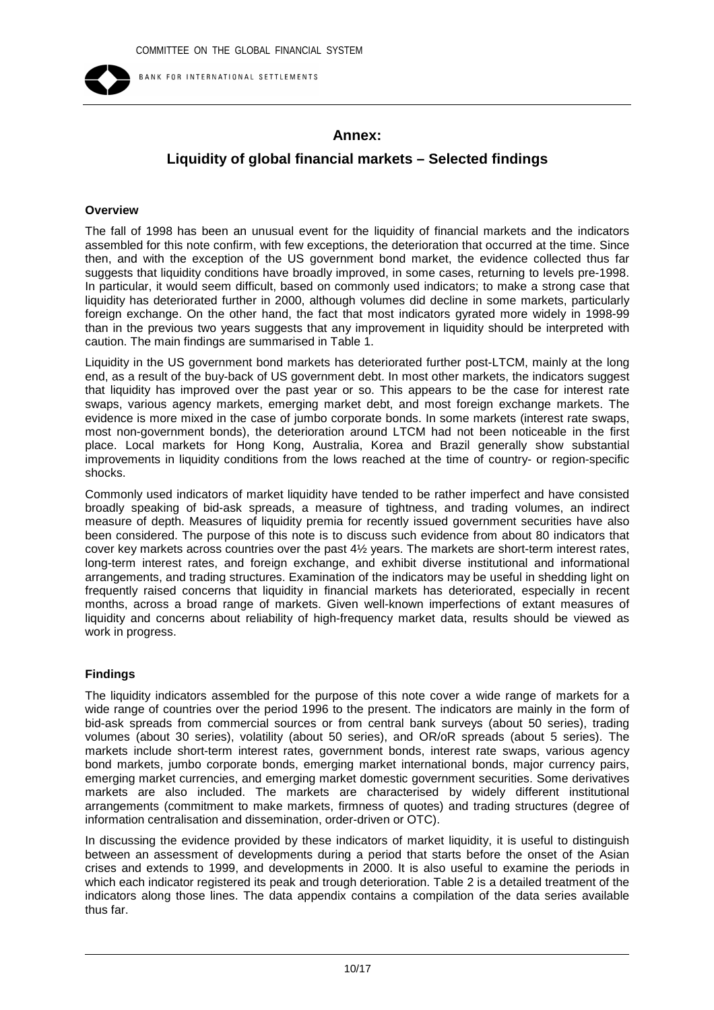

BANK FOR INTERNATIONAL SETTLEMENTS

# **Annex:**

# **Liquidity of global financial markets – Selected findings**

#### **Overview**

The fall of 1998 has been an unusual event for the liquidity of financial markets and the indicators assembled for this note confirm, with few exceptions, the deterioration that occurred at the time. Since then, and with the exception of the US government bond market, the evidence collected thus far suggests that liquidity conditions have broadly improved, in some cases, returning to levels pre-1998. In particular, it would seem difficult, based on commonly used indicators; to make a strong case that liquidity has deteriorated further in 2000, although volumes did decline in some markets, particularly foreign exchange. On the other hand, the fact that most indicators gyrated more widely in 1998-99 than in the previous two years suggests that any improvement in liquidity should be interpreted with caution. The main findings are summarised in Table 1.

Liquidity in the US government bond markets has deteriorated further post-LTCM, mainly at the long end, as a result of the buy-back of US government debt. In most other markets, the indicators suggest that liquidity has improved over the past year or so. This appears to be the case for interest rate swaps, various agency markets, emerging market debt, and most foreign exchange markets. The evidence is more mixed in the case of jumbo corporate bonds. In some markets (interest rate swaps, most non-government bonds), the deterioration around LTCM had not been noticeable in the first place. Local markets for Hong Kong, Australia, Korea and Brazil generally show substantial improvements in liquidity conditions from the lows reached at the time of country- or region-specific shocks.

Commonly used indicators of market liquidity have tended to be rather imperfect and have consisted broadly speaking of bid-ask spreads, a measure of tightness, and trading volumes, an indirect measure of depth. Measures of liquidity premia for recently issued government securities have also been considered. The purpose of this note is to discuss such evidence from about 80 indicators that cover key markets across countries over the past 4½ years. The markets are short-term interest rates, long-term interest rates, and foreign exchange, and exhibit diverse institutional and informational arrangements, and trading structures. Examination of the indicators may be useful in shedding light on frequently raised concerns that liquidity in financial markets has deteriorated, especially in recent months, across a broad range of markets. Given well-known imperfections of extant measures of liquidity and concerns about reliability of high-frequency market data, results should be viewed as work in progress.

## **Findings**

The liquidity indicators assembled for the purpose of this note cover a wide range of markets for a wide range of countries over the period 1996 to the present. The indicators are mainly in the form of bid-ask spreads from commercial sources or from central bank surveys (about 50 series), trading volumes (about 30 series), volatility (about 50 series), and OR/oR spreads (about 5 series). The markets include short-term interest rates, government bonds, interest rate swaps, various agency bond markets, jumbo corporate bonds, emerging market international bonds, major currency pairs, emerging market currencies, and emerging market domestic government securities. Some derivatives markets are also included. The markets are characterised by widely different institutional arrangements (commitment to make markets, firmness of quotes) and trading structures (degree of information centralisation and dissemination, order-driven or OTC).

In discussing the evidence provided by these indicators of market liquidity, it is useful to distinguish between an assessment of developments during a period that starts before the onset of the Asian crises and extends to 1999, and developments in 2000. It is also useful to examine the periods in which each indicator registered its peak and trough deterioration. Table 2 is a detailed treatment of the indicators along those lines. The data appendix contains a compilation of the data series available thus far.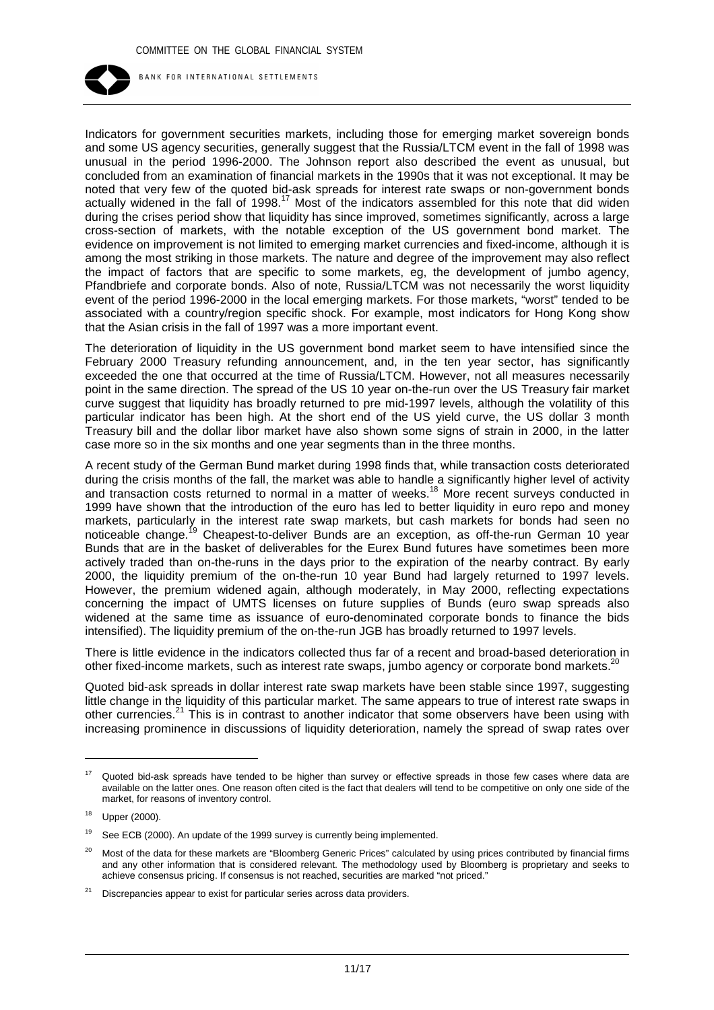

Indicators for government securities markets, including those for emerging market sovereign bonds and some US agency securities, generally suggest that the Russia/LTCM event in the fall of 1998 was unusual in the period 1996-2000. The Johnson report also described the event as unusual, but concluded from an examination of financial markets in the 1990s that it was not exceptional. It may be noted that very few of the quoted bid-ask spreads for interest rate swaps or non-government bonds actually widened in the fall of 1998.<sup>17</sup> Most of the indicators assembled for this note that did widen during the crises period show that liquidity has since improved, sometimes significantly, across a large cross-section of markets, with the notable exception of the US government bond market. The evidence on improvement is not limited to emerging market currencies and fixed-income, although it is among the most striking in those markets. The nature and degree of the improvement may also reflect the impact of factors that are specific to some markets, eg, the development of jumbo agency, Pfandbriefe and corporate bonds. Also of note, Russia/LTCM was not necessarily the worst liquidity event of the period 1996-2000 in the local emerging markets. For those markets, "worst" tended to be associated with a country/region specific shock. For example, most indicators for Hong Kong show that the Asian crisis in the fall of 1997 was a more important event.

The deterioration of liquidity in the US government bond market seem to have intensified since the February 2000 Treasury refunding announcement, and, in the ten year sector, has significantly exceeded the one that occurred at the time of Russia/LTCM. However, not all measures necessarily point in the same direction. The spread of the US 10 year on-the-run over the US Treasury fair market curve suggest that liquidity has broadly returned to pre mid-1997 levels, although the volatility of this particular indicator has been high. At the short end of the US yield curve, the US dollar 3 month Treasury bill and the dollar libor market have also shown some signs of strain in 2000, in the latter case more so in the six months and one year segments than in the three months.

A recent study of the German Bund market during 1998 finds that, while transaction costs deteriorated during the crisis months of the fall, the market was able to handle a significantly higher level of activity and transaction costs returned to normal in a matter of weeks.<sup>18</sup> More recent surveys conducted in 1999 have shown that the introduction of the euro has led to better liquidity in euro repo and money markets, particularly in the interest rate swap markets, but cash markets for bonds had seen no noticeable change.<sup>19</sup> Cheapest-to-deliver Bunds are an exception, as off-the-run German 10 year Bunds that are in the basket of deliverables for the Eurex Bund futures have sometimes been more actively traded than on-the-runs in the days prior to the expiration of the nearby contract. By early 2000, the liquidity premium of the on-the-run 10 year Bund had largely returned to 1997 levels. However, the premium widened again, although moderately, in May 2000, reflecting expectations concerning the impact of UMTS licenses on future supplies of Bunds (euro swap spreads also widened at the same time as issuance of euro-denominated corporate bonds to finance the bids intensified). The liquidity premium of the on-the-run JGB has broadly returned to 1997 levels.

There is little evidence in the indicators collected thus far of a recent and broad-based deterioration in other fixed-income markets, such as interest rate swaps, jumbo agency or corporate bond markets.<sup>20</sup>

Quoted bid-ask spreads in dollar interest rate swap markets have been stable since 1997, suggesting little change in the liquidity of this particular market. The same appears to true of interest rate swaps in other currencies.<sup>21</sup> This is in contrast to another indicator that some observers have been using with increasing prominence in discussions of liquidity deterioration, namely the spread of swap rates over

<sup>&</sup>lt;sup>17</sup> Quoted bid-ask spreads have tended to be higher than survey or effective spreads in those few cases where data are available on the latter ones. One reason often cited is the fact that dealers will tend to be competitive on only one side of the market, for reasons of inventory control.

 $18$  Upper (2000).

<sup>&</sup>lt;sup>19</sup> See ECB (2000). An update of the 1999 survey is currently being implemented.

<sup>&</sup>lt;sup>20</sup> Most of the data for these markets are "Bloomberg Generic Prices" calculated by using prices contributed by financial firms and any other information that is considered relevant. The methodology used by Bloomberg is proprietary and seeks to achieve consensus pricing. If consensus is not reached, securities are marked "not priced."

<sup>&</sup>lt;sup>21</sup> Discrepancies appear to exist for particular series across data providers.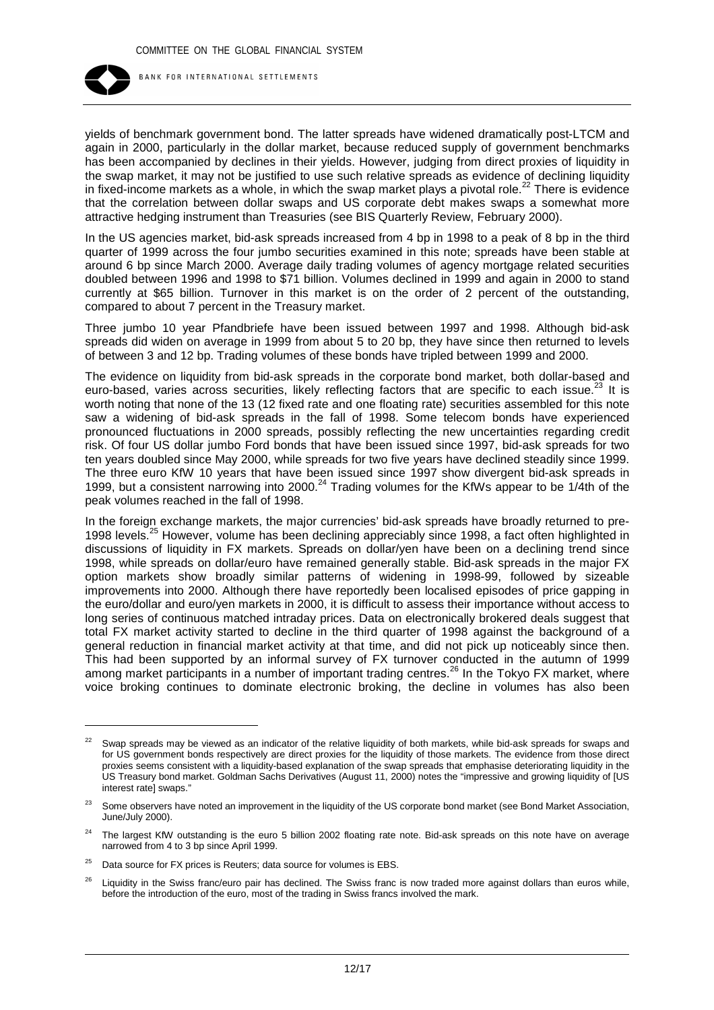

yields of benchmark government bond. The latter spreads have widened dramatically post-LTCM and again in 2000, particularly in the dollar market, because reduced supply of government benchmarks has been accompanied by declines in their yields. However, judging from direct proxies of liquidity in the swap market, it may not be justified to use such relative spreads as evidence of declining liquidity in fixed-income markets as a whole, in which the swap market plays a pivotal role.<sup>22</sup> There is evidence that the correlation between dollar swaps and US corporate debt makes swaps a somewhat more attractive hedging instrument than Treasuries (see BIS Quarterly Review, February 2000).

In the US agencies market, bid-ask spreads increased from 4 bp in 1998 to a peak of 8 bp in the third quarter of 1999 across the four jumbo securities examined in this note; spreads have been stable at around 6 bp since March 2000. Average daily trading volumes of agency mortgage related securities doubled between 1996 and 1998 to \$71 billion. Volumes declined in 1999 and again in 2000 to stand currently at \$65 billion. Turnover in this market is on the order of 2 percent of the outstanding, compared to about 7 percent in the Treasury market.

Three jumbo 10 year Pfandbriefe have been issued between 1997 and 1998. Although bid-ask spreads did widen on average in 1999 from about 5 to 20 bp, they have since then returned to levels of between 3 and 12 bp. Trading volumes of these bonds have tripled between 1999 and 2000.

The evidence on liquidity from bid-ask spreads in the corporate bond market, both dollar-based and euro-based, varies across securities, likely reflecting factors that are specific to each issue.<sup>23</sup> It is worth noting that none of the 13 (12 fixed rate and one floating rate) securities assembled for this note saw a widening of bid-ask spreads in the fall of 1998. Some telecom bonds have experienced pronounced fluctuations in 2000 spreads, possibly reflecting the new uncertainties regarding credit risk. Of four US dollar jumbo Ford bonds that have been issued since 1997, bid-ask spreads for two ten years doubled since May 2000, while spreads for two five years have declined steadily since 1999. The three euro KfW 10 years that have been issued since 1997 show divergent bid-ask spreads in 1999, but a consistent narrowing into 2000.<sup>24</sup> Trading volumes for the KfWs appear to be 1/4th of the peak volumes reached in the fall of 1998.

In the foreign exchange markets, the major currencies' bid-ask spreads have broadly returned to pre-1998 levels.<sup>25</sup> However, volume has been declining appreciably since 1998, a fact often highlighted in discussions of liquidity in FX markets. Spreads on dollar/yen have been on a declining trend since 1998, while spreads on dollar/euro have remained generally stable. Bid-ask spreads in the major FX option markets show broadly similar patterns of widening in 1998-99, followed by sizeable improvements into 2000. Although there have reportedly been localised episodes of price gapping in the euro/dollar and euro/yen markets in 2000, it is difficult to assess their importance without access to long series of continuous matched intraday prices. Data on electronically brokered deals suggest that total FX market activity started to decline in the third quarter of 1998 against the background of a general reduction in financial market activity at that time, and did not pick up noticeably since then. This had been supported by an informal survey of FX turnover conducted in the autumn of 1999 among market participants in a number of important trading centres.<sup>26</sup> In the Tokyo FX market, where voice broking continues to dominate electronic broking, the decline in volumes has also been

<sup>&</sup>lt;sup>22</sup> Swap spreads may be viewed as an indicator of the relative liquidity of both markets, while bid-ask spreads for swaps and for US government bonds respectively are direct proxies for the liquidity of those markets. The evidence from those direct proxies seems consistent with a liquidity-based explanation of the swap spreads that emphasise deteriorating liquidity in the US Treasury bond market. Goldman Sachs Derivatives (August 11, 2000) notes the "impressive and growing liquidity of [US interest rate] swaps."

<sup>&</sup>lt;sup>23</sup> Some observers have noted an improvement in the liquidity of the US corporate bond market (see Bond Market Association, June/July 2000).

<sup>24</sup> The largest KfW outstanding is the euro 5 billion 2002 floating rate note. Bid-ask spreads on this note have on average narrowed from 4 to 3 bp since April 1999.

 $25$  Data source for FX prices is Reuters; data source for volumes is EBS.

Liquidity in the Swiss franc/euro pair has declined. The Swiss franc is now traded more against dollars than euros while. before the introduction of the euro, most of the trading in Swiss francs involved the mark.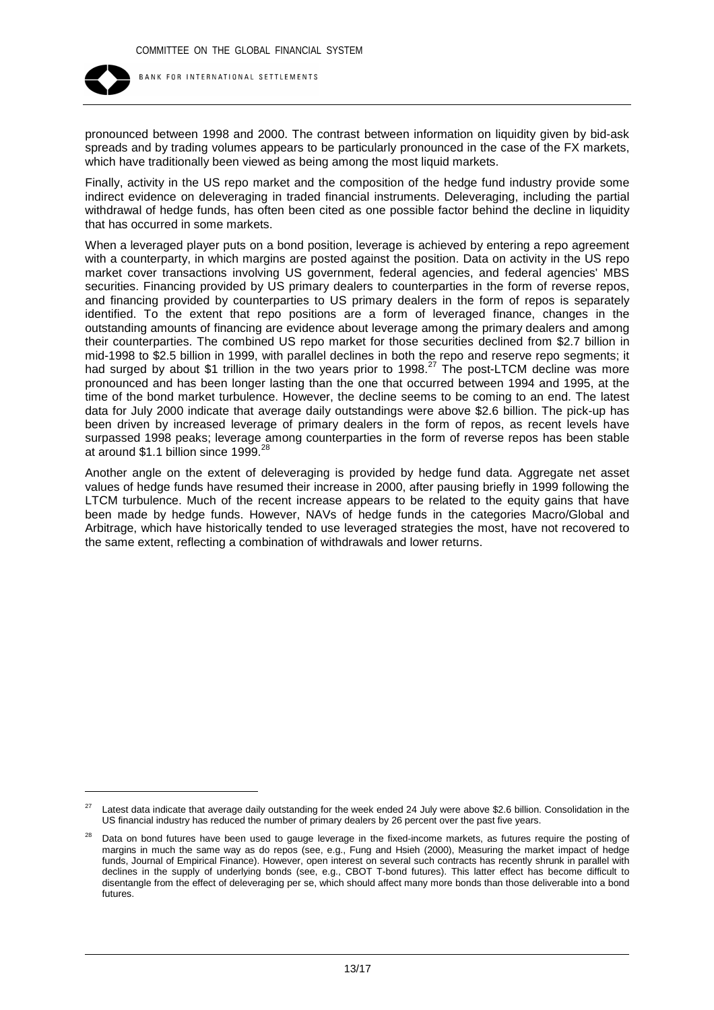

pronounced between 1998 and 2000. The contrast between information on liquidity given by bid-ask spreads and by trading volumes appears to be particularly pronounced in the case of the FX markets, which have traditionally been viewed as being among the most liquid markets.

Finally, activity in the US repo market and the composition of the hedge fund industry provide some indirect evidence on deleveraging in traded financial instruments. Deleveraging, including the partial withdrawal of hedge funds, has often been cited as one possible factor behind the decline in liquidity that has occurred in some markets.

When a leveraged player puts on a bond position, leverage is achieved by entering a repo agreement with a counterparty, in which margins are posted against the position. Data on activity in the US repo market cover transactions involving US government, federal agencies, and federal agencies' MBS securities. Financing provided by US primary dealers to counterparties in the form of reverse repos, and financing provided by counterparties to US primary dealers in the form of repos is separately identified. To the extent that repo positions are a form of leveraged finance, changes in the outstanding amounts of financing are evidence about leverage among the primary dealers and among their counterparties. The combined US repo market for those securities declined from \$2.7 billion in mid-1998 to \$2.5 billion in 1999, with parallel declines in both the repo and reserve repo segments; it had surged by about \$1 trillion in the two years prior to 1998.<sup>27</sup> The post-LTCM decline was more pronounced and has been longer lasting than the one that occurred between 1994 and 1995, at the time of the bond market turbulence. However, the decline seems to be coming to an end. The latest data for July 2000 indicate that average daily outstandings were above \$2.6 billion. The pick-up has been driven by increased leverage of primary dealers in the form of repos, as recent levels have surpassed 1998 peaks; leverage among counterparties in the form of reverse repos has been stable at around \$1.1 billion since 1999. $^{28}$ 

Another angle on the extent of deleveraging is provided by hedge fund data. Aggregate net asset values of hedge funds have resumed their increase in 2000, after pausing briefly in 1999 following the LTCM turbulence. Much of the recent increase appears to be related to the equity gains that have been made by hedge funds. However, NAVs of hedge funds in the categories Macro/Global and Arbitrage, which have historically tended to use leveraged strategies the most, have not recovered to the same extent, reflecting a combination of withdrawals and lower returns.

<sup>&</sup>lt;sup>27</sup> Latest data indicate that average daily outstanding for the week ended 24 July were above \$2.6 billion. Consolidation in the US financial industry has reduced the number of primary dealers by 26 percent over the past five years.

Data on bond futures have been used to gauge leverage in the fixed-income markets, as futures require the posting of margins in much the same way as do repos (see, e.g., Fung and Hsieh (2000), Measuring the market impact of hedge funds, Journal of Empirical Finance). However, open interest on several such contracts has recently shrunk in parallel with declines in the supply of underlying bonds (see, e.g., CBOT T-bond futures). This latter effect has become difficult to disentangle from the effect of deleveraging per se, which should affect many more bonds than those deliverable into a bond futures.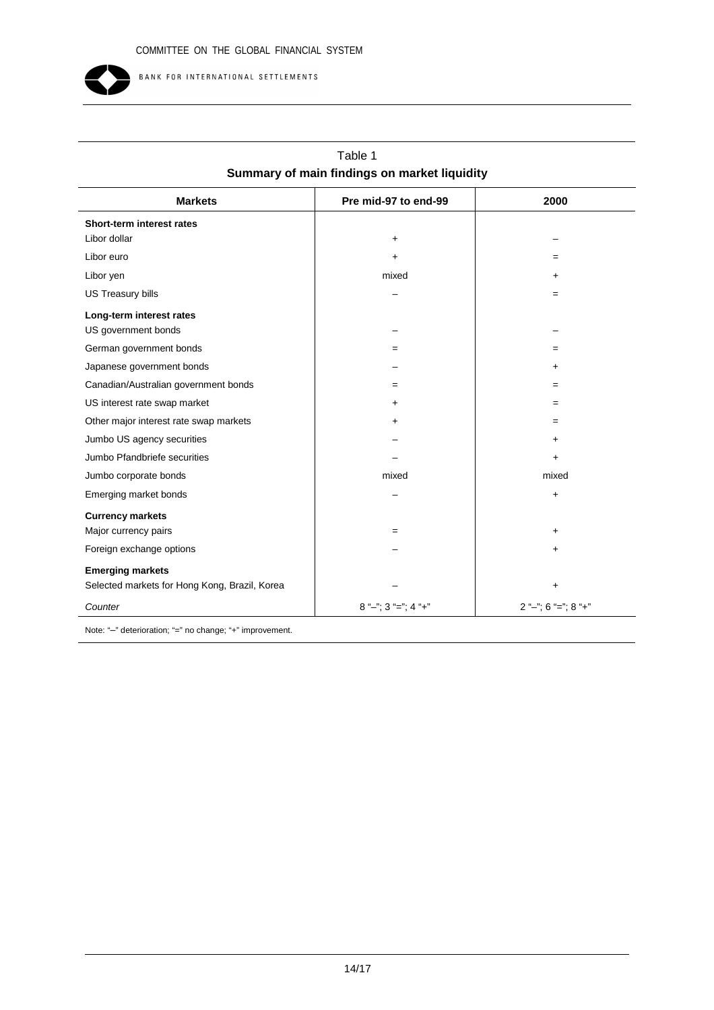

| <b>Markets</b>                                | Pre mid-97 to end-99      | 2000                  |  |  |  |
|-----------------------------------------------|---------------------------|-----------------------|--|--|--|
| Short-term interest rates                     |                           |                       |  |  |  |
| Libor dollar                                  | $\ddot{}$                 |                       |  |  |  |
| Libor euro                                    | +                         | $=$                   |  |  |  |
| Libor yen                                     | mixed                     | $\ddot{}$             |  |  |  |
| US Treasury bills                             |                           | $=$                   |  |  |  |
| Long-term interest rates                      |                           |                       |  |  |  |
| US government bonds                           |                           |                       |  |  |  |
| German government bonds                       | $=$                       | $=$                   |  |  |  |
| Japanese government bonds                     |                           | $\ddot{}$             |  |  |  |
| Canadian/Australian government bonds          | $=$                       | $=$                   |  |  |  |
| US interest rate swap market                  | +                         | $=$                   |  |  |  |
| Other major interest rate swap markets        | +                         | $=$                   |  |  |  |
| Jumbo US agency securities                    |                           | $\ddot{}$             |  |  |  |
| Jumbo Pfandbriefe securities                  |                           | $\ddot{}$             |  |  |  |
| Jumbo corporate bonds                         | mixed                     | mixed                 |  |  |  |
| Emerging market bonds                         |                           | $\ddot{}$             |  |  |  |
| <b>Currency markets</b>                       |                           |                       |  |  |  |
| Major currency pairs                          | $=$                       | $\ddot{}$             |  |  |  |
| Foreign exchange options                      |                           | $\ddot{}$             |  |  |  |
| <b>Emerging markets</b>                       |                           |                       |  |  |  |
| Selected markets for Hong Kong, Brazil, Korea |                           | $\ddot{}$             |  |  |  |
| Counter                                       | $8$ "-"; $3$ "="; $4$ "+" | $2$ "-"; 6 "="; 8 "+" |  |  |  |
|                                               |                           |                       |  |  |  |

| Table 1                                      |  |
|----------------------------------------------|--|
| Summary of main findings on market liquidity |  |

Note: "–" deterioration; "=" no change; "+" improvement.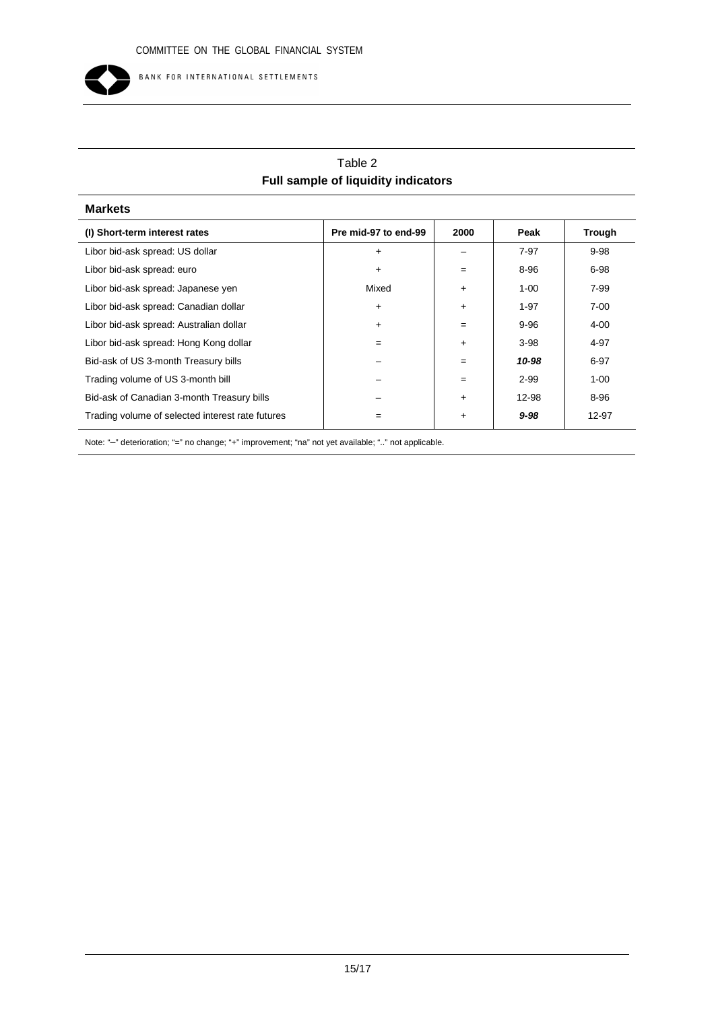

# Table 2 **Full sample of liquidity indicators**

| <b>Markets</b>                                   |                      |           |          |               |
|--------------------------------------------------|----------------------|-----------|----------|---------------|
| (I) Short-term interest rates                    | Pre mid-97 to end-99 | 2000      | Peak     | <b>Trough</b> |
| Libor bid-ask spread: US dollar                  | $\ddot{}$            |           | $7-97$   | $9 - 98$      |
| Libor bid-ask spread: euro                       | $\ddot{}$            | $=$       | 8-96     | $6 - 98$      |
| Libor bid-ask spread: Japanese yen               | Mixed                | $\ddot{}$ | $1 - 00$ | 7-99          |
| Libor bid-ask spread: Canadian dollar            | $\ddot{}$            | $\ddot{}$ | $1 - 97$ | $7 - 00$      |
| Libor bid-ask spread: Australian dollar          | $\ddot{}$            | $=$       | $9 - 96$ | 4-00          |
| Libor bid-ask spread: Hong Kong dollar           | $=$                  | $\ddot{}$ | $3 - 98$ | 4-97          |
| Bid-ask of US 3-month Treasury bills             |                      | $=$       | 10-98    | $6 - 97$      |
| Trading volume of US 3-month bill                |                      | $=$       | $2 - 99$ | $1 - 00$      |
| Bid-ask of Canadian 3-month Treasury bills       |                      | $\ddot{}$ | 12-98    | 8-96          |
| Trading volume of selected interest rate futures | $=$                  | $\ddot{}$ | $9 - 98$ | 12-97         |

Note: "–" deterioration; "=" no change; "+" improvement; "na" not yet available; ".." not applicable.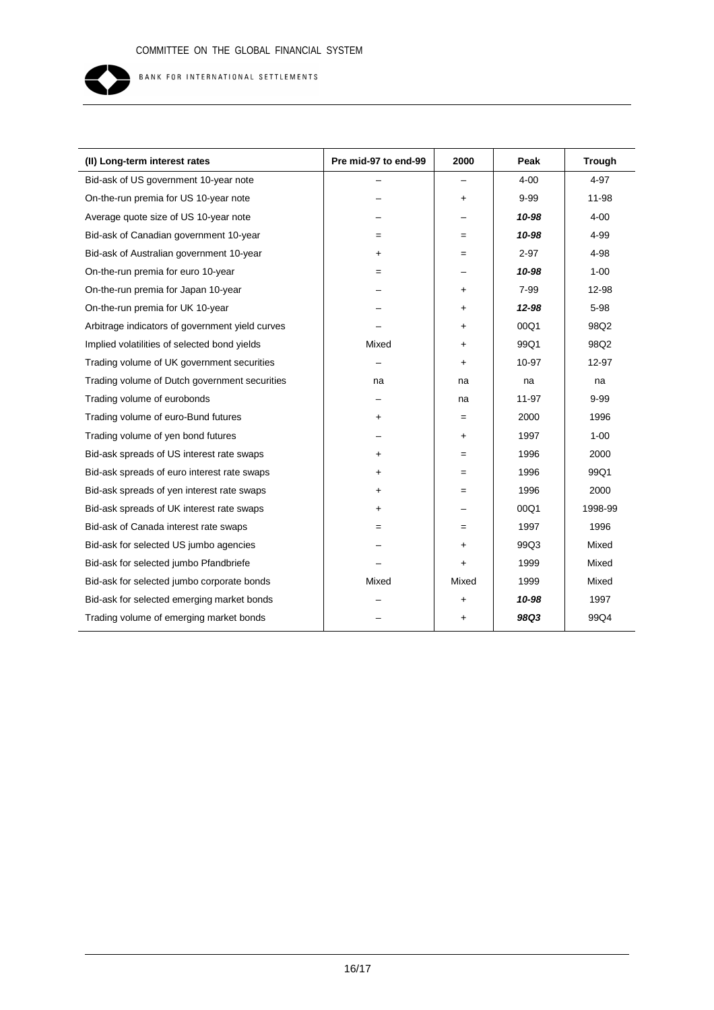

| (II) Long-term interest rates                   | Pre mid-97 to end-99 | 2000      | Peak      | <b>Trough</b> |
|-------------------------------------------------|----------------------|-----------|-----------|---------------|
| Bid-ask of US government 10-year note           |                      |           | $4 - 00$  | 4-97          |
| On-the-run premia for US 10-year note           |                      | $\ddot{}$ | $9 - 99$  | 11-98         |
| Average quote size of US 10-year note           |                      |           | 10-98     | $4 - 00$      |
| Bid-ask of Canadian government 10-year          | $=$                  | $=$       | 10-98     | 4-99          |
| Bid-ask of Australian government 10-year        | $\ddot{}$            | $=$       | $2 - 97$  | 4-98          |
| On-the-run premia for euro 10-year              | $=$                  |           | 10-98     | $1 - 00$      |
| On-the-run premia for Japan 10-year             |                      | +         | 7-99      | 12-98         |
| On-the-run premia for UK 10-year                |                      | $\ddot{}$ | 12-98     | 5-98          |
| Arbitrage indicators of government yield curves |                      | $\ddot{}$ | 00Q1      | 98Q2          |
| Implied volatilities of selected bond yields    | Mixed                | $\ddot{}$ | 99Q1      | 98Q2          |
| Trading volume of UK government securities      |                      | $\ddot{}$ | 10-97     | 12-97         |
| Trading volume of Dutch government securities   | na                   | na        | na        | na            |
| Trading volume of eurobonds                     |                      | na        | $11 - 97$ | $9 - 99$      |
| Trading volume of euro-Bund futures             | +                    | $=$       | 2000      | 1996          |
| Trading volume of yen bond futures              |                      | $\ddot{}$ | 1997      | $1 - 00$      |
| Bid-ask spreads of US interest rate swaps       | $\ddot{}$            | $=$       | 1996      | 2000          |
| Bid-ask spreads of euro interest rate swaps     | $\ddot{}$            | $=$       | 1996      | 99Q1          |
| Bid-ask spreads of yen interest rate swaps      | $\ddot{}$            | $=$       | 1996      | 2000          |
| Bid-ask spreads of UK interest rate swaps       | $\ddot{}$            |           | 00Q1      | 1998-99       |
| Bid-ask of Canada interest rate swaps           | $=$                  | $=$       | 1997      | 1996          |
| Bid-ask for selected US jumbo agencies          |                      | $\ddot{}$ | 99Q3      | Mixed         |
| Bid-ask for selected jumbo Pfandbriefe          |                      | $\ddot{}$ | 1999      | Mixed         |
| Bid-ask for selected jumbo corporate bonds      | Mixed                | Mixed     | 1999      | Mixed         |
| Bid-ask for selected emerging market bonds      |                      | $\ddot{}$ | 10-98     | 1997          |
| Trading volume of emerging market bonds         |                      | $\ddot{}$ | 98Q3      | 99Q4          |